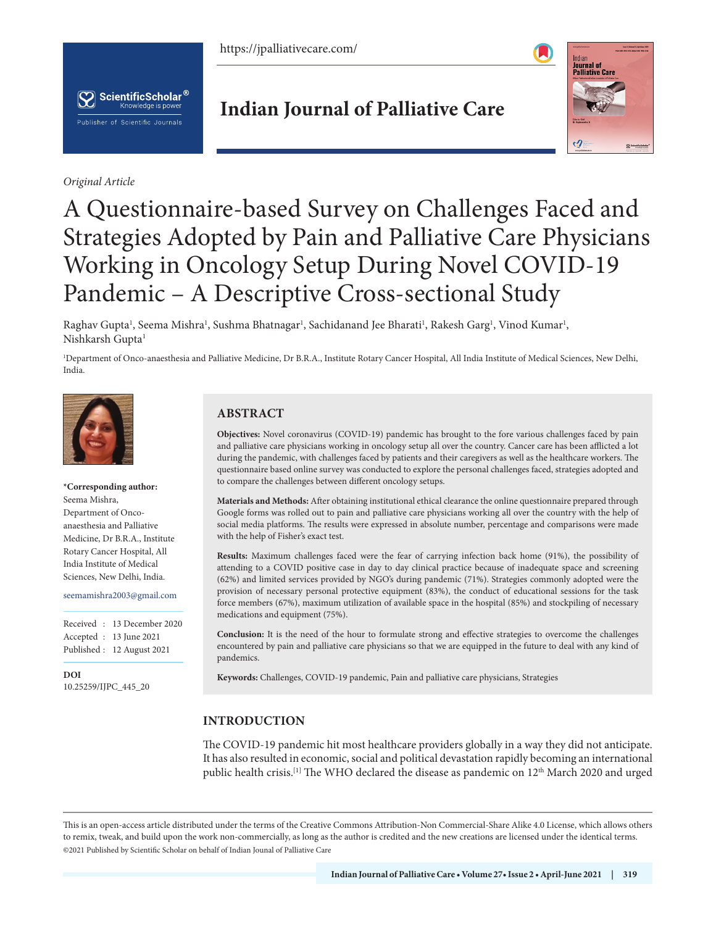https://jpalliativecare.com/



*Original Article*

**Indian Journal of Palliative Care**



# A Questionnaire-based Survey on Challenges Faced and Strategies Adopted by Pain and Palliative Care Physicians Working in Oncology Setup During Novel COVID-19 Pandemic – A Descriptive Cross-sectional Study

Raghav Gupta<sup>1</sup>, Seema Mishra<sup>1</sup>, Sushma Bhatnagar<sup>1</sup>, Sachidanand Jee Bharati<sup>1</sup>, Rakesh Garg<sup>1</sup>, Vinod Kumar<sup>1</sup>, Nishkarsh Gupta1

1 Department of Onco-anaesthesia and Palliative Medicine, Dr B.R.A., Institute Rotary Cancer Hospital, All India Institute of Medical Sciences, New Delhi, India.



# **\*Corresponding author:**

Seema Mishra, Department of Oncoanaesthesia and Palliative Medicine, Dr B.R.A., Institute Rotary Cancer Hospital, All India Institute of Medical Sciences, New Delhi, India.

seemamishra2003@gmail.com

Received : 13 December 2020 Accepted : 13 June 2021 Published : 12 August 2021

**DOI** [10.25259/IJPC\\_445\\_20](https://dx.doi.org/10.25259/IJPC_445_20)

# **ABSTRACT**

**Objectives:** Novel coronavirus (COVID-19) pandemic has brought to the fore various challenges faced by pain and palliative care physicians working in oncology setup all over the country. Cancer care has been afflicted a lot during the pandemic, with challenges faced by patients and their caregivers as well as the healthcare workers. The questionnaire based online survey was conducted to explore the personal challenges faced, strategies adopted and to compare the challenges between different oncology setups.

**Materials and Methods:** After obtaining institutional ethical clearance the online questionnaire prepared through Google forms was rolled out to pain and palliative care physicians working all over the country with the help of social media platforms. The results were expressed in absolute number, percentage and comparisons were made with the help of Fisher's exact test.

**Results:** Maximum challenges faced were the fear of carrying infection back home (91%), the possibility of attending to a COVID positive case in day to day clinical practice because of inadequate space and screening (62%) and limited services provided by NGO's during pandemic (71%). Strategies commonly adopted were the provision of necessary personal protective equipment (83%), the conduct of educational sessions for the task force members (67%), maximum utilization of available space in the hospital (85%) and stockpiling of necessary medications and equipment (75%).

**Conclusion:** It is the need of the hour to formulate strong and effective strategies to overcome the challenges encountered by pain and palliative care physicians so that we are equipped in the future to deal with any kind of pandemics.

**Keywords:** Challenges, COVID-19 pandemic, Pain and palliative care physicians, Strategies

# **INTRODUCTION**

The COVID-19 pandemic hit most healthcare providers globally in a way they did not anticipate. It has also resulted in economic, social and political devastation rapidly becoming an international public health crisis.<sup>[1]</sup> The WHO declared the disease as pandemic on 12<sup>th</sup> March 2020 and urged

is is an open-access article distributed under the terms of the Creative Commons Attribution-Non Commercial-Share Alike 4.0 License, which allows others to remix, tweak, and build upon the work non-commercially, as long as the author is credited and the new creations are licensed under the identical terms. ©2021 Published by Scientific Scholar on behalf of Indian Jounal of Palliative Care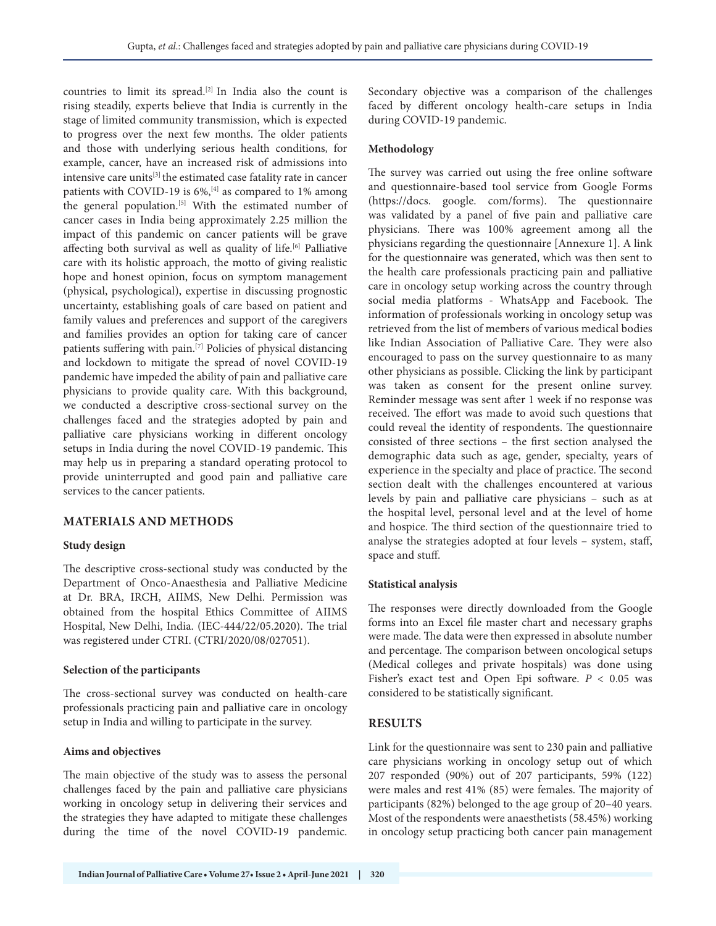countries to limit its spread.[2] In India also the count is rising steadily, experts believe that India is currently in the stage of limited community transmission, which is expected to progress over the next few months. The older patients and those with underlying serious health conditions, for example, cancer, have an increased risk of admissions into intensive care units<sup>[3]</sup> the estimated case fatality rate in cancer patients with COVID-19 is 6%,<sup>[4]</sup> as compared to 1% among the general population.<sup>[5]</sup> With the estimated number of cancer cases in India being approximately 2.25 million the impact of this pandemic on cancer patients will be grave affecting both survival as well as quality of life.<sup>[6]</sup> Palliative care with its holistic approach, the motto of giving realistic hope and honest opinion, focus on symptom management (physical, psychological), expertise in discussing prognostic uncertainty, establishing goals of care based on patient and family values and preferences and support of the caregivers and families provides an option for taking care of cancer patients suffering with pain.[7] Policies of physical distancing and lockdown to mitigate the spread of novel COVID-19 pandemic have impeded the ability of pain and palliative care physicians to provide quality care. With this background, we conducted a descriptive cross-sectional survey on the challenges faced and the strategies adopted by pain and palliative care physicians working in different oncology setups in India during the novel COVID-19 pandemic. This may help us in preparing a standard operating protocol to provide uninterrupted and good pain and palliative care services to the cancer patients.

# **MATERIALS AND METHODS**

# **Study design**

The descriptive cross-sectional study was conducted by the Department of Onco-Anaesthesia and Palliative Medicine at Dr. BRA, IRCH, AIIMS, New Delhi. Permission was obtained from the hospital Ethics Committee of AIIMS Hospital, New Delhi, India. (IEC-444/22/05.2020). The trial was registered under CTRI. (CTRI/2020/08/027051).

#### **Selection of the participants**

The cross-sectional survey was conducted on health-care professionals practicing pain and palliative care in oncology setup in India and willing to participate in the survey.

# **Aims and objectives**

The main objective of the study was to assess the personal challenges faced by the pain and palliative care physicians working in oncology setup in delivering their services and the strategies they have adapted to mitigate these challenges during the time of the novel COVID-19 pandemic. Secondary objective was a comparison of the challenges faced by different oncology health-care setups in India during COVID-19 pandemic.

## **Methodology**

The survey was carried out using the free online software and questionnaire-based tool service from Google Forms (https://docs. google. com/forms). The questionnaire was validated by a panel of five pain and palliative care physicians. There was 100% agreement among all the physicians regarding the questionnaire [Annexure 1]. A link for the questionnaire was generated, which was then sent to the health care professionals practicing pain and palliative care in oncology setup working across the country through social media platforms - WhatsApp and Facebook. The information of professionals working in oncology setup was retrieved from the list of members of various medical bodies like Indian Association of Palliative Care. They were also encouraged to pass on the survey questionnaire to as many other physicians as possible. Clicking the link by participant was taken as consent for the present online survey. Reminder message was sent after 1 week if no response was received. The effort was made to avoid such questions that could reveal the identity of respondents. The questionnaire consisted of three sections – the first section analysed the demographic data such as age, gender, specialty, years of experience in the specialty and place of practice. The second section dealt with the challenges encountered at various levels by pain and palliative care physicians – such as at the hospital level, personal level and at the level of home and hospice. The third section of the questionnaire tried to analyse the strategies adopted at four levels – system, staff, space and stuff.

#### **Statistical analysis**

The responses were directly downloaded from the Google forms into an Excel file master chart and necessary graphs were made. The data were then expressed in absolute number and percentage. The comparison between oncological setups (Medical colleges and private hospitals) was done using Fisher's exact test and Open Epi software. *P* < 0.05 was considered to be statistically significant.

# **RESULTS**

Link for the questionnaire was sent to 230 pain and palliative care physicians working in oncology setup out of which 207 responded (90%) out of 207 participants, 59% (122) were males and rest 41% (85) were females. The majority of participants (82%) belonged to the age group of 20–40 years. Most of the respondents were anaesthetists (58.45%) working in oncology setup practicing both cancer pain management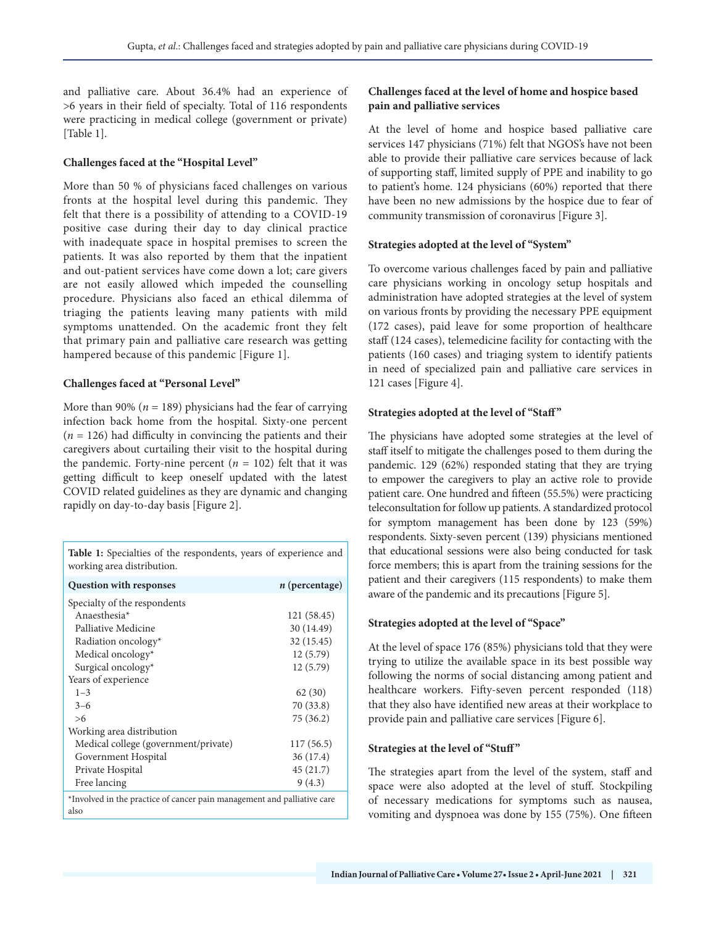and palliative care. About 36.4% had an experience of >6 years in their field of specialty. Total of 116 respondents were practicing in medical college (government or private) [Table 1].

# **Challenges faced at the "Hospital Level"**

More than 50 % of physicians faced challenges on various fronts at the hospital level during this pandemic. They felt that there is a possibility of attending to a COVID-19 positive case during their day to day clinical practice with inadequate space in hospital premises to screen the patients. It was also reported by them that the inpatient and out-patient services have come down a lot; care givers are not easily allowed which impeded the counselling procedure. Physicians also faced an ethical dilemma of triaging the patients leaving many patients with mild symptoms unattended. On the academic front they felt that primary pain and palliative care research was getting hampered because of this pandemic [Figure 1].

#### **Challenges faced at "Personal Level"**

More than 90% (*n* = 189) physicians had the fear of carrying infection back home from the hospital. Sixty-one percent (*n* = 126) had difficulty in convincing the patients and their caregivers about curtailing their visit to the hospital during the pandemic. Forty-nine percent  $(n = 102)$  felt that it was getting difficult to keep oneself updated with the latest COVID related guidelines as they are dynamic and changing rapidly on day-to-day basis [Figure 2].

**Table 1:** Specialties of the respondents, years of experience and working area distribution.

| <b>Question with responses</b>                                                  | $n$ (percentage) |
|---------------------------------------------------------------------------------|------------------|
| Specialty of the respondents                                                    |                  |
| Anaesthesia $*$                                                                 | 121 (58.45)      |
| Palliative Medicine                                                             | 30 (14.49)       |
| Radiation oncology*                                                             | 32 (15.45)       |
| Medical oncology*                                                               | 12 (5.79)        |
| Surgical oncology*                                                              | 12 (5.79)        |
| Years of experience                                                             |                  |
| $1 - 3$                                                                         | 62 (30)          |
| $3 - 6$                                                                         | 70 (33.8)        |
| >6                                                                              | 75 (36.2)        |
| Working area distribution                                                       |                  |
| Medical college (government/private)                                            | 117(56.5)        |
| Government Hospital                                                             | 36 (17.4)        |
| Private Hospital                                                                | 45 (21.7)        |
| Free lancing                                                                    | 9(4.3)           |
| *Involved in the practice of cancer pain management and palliative care<br>also |                  |

## **Challenges faced at the level of home and hospice based pain and palliative services**

At the level of home and hospice based palliative care services 147 physicians (71%) felt that NGOS's have not been able to provide their palliative care services because of lack of supporting staff, limited supply of PPE and inability to go to patient's home. 124 physicians (60%) reported that there have been no new admissions by the hospice due to fear of community transmission of coronavirus [Figure 3].

#### **Strategies adopted at the level of "System"**

To overcome various challenges faced by pain and palliative care physicians working in oncology setup hospitals and administration have adopted strategies at the level of system on various fronts by providing the necessary PPE equipment (172 cases), paid leave for some proportion of healthcare staff (124 cases), telemedicine facility for contacting with the patients (160 cases) and triaging system to identify patients in need of specialized pain and palliative care services in 121 cases [Figure 4].

#### Strategies adopted at the level of "Staff"

The physicians have adopted some strategies at the level of staff itself to mitigate the challenges posed to them during the pandemic. 129 (62%) responded stating that they are trying to empower the caregivers to play an active role to provide patient care. One hundred and fifteen (55.5%) were practicing teleconsultation for follow up patients. A standardized protocol for symptom management has been done by 123 (59%) respondents. Sixty-seven percent (139) physicians mentioned that educational sessions were also being conducted for task force members; this is apart from the training sessions for the patient and their caregivers (115 respondents) to make them aware of the pandemic and its precautions [Figure 5].

# **Strategies adopted at the level of "Space"**

At the level of space 176 (85%) physicians told that they were trying to utilize the available space in its best possible way following the norms of social distancing among patient and healthcare workers. Fifty-seven percent responded (118) that they also have identified new areas at their workplace to provide pain and palliative care services [Figure 6].

#### **Strategies at the level of "Stuff"**

The strategies apart from the level of the system, staff and space were also adopted at the level of stuff. Stockpiling of necessary medications for symptoms such as nausea, vomiting and dyspnoea was done by 155 (75%). One fifteen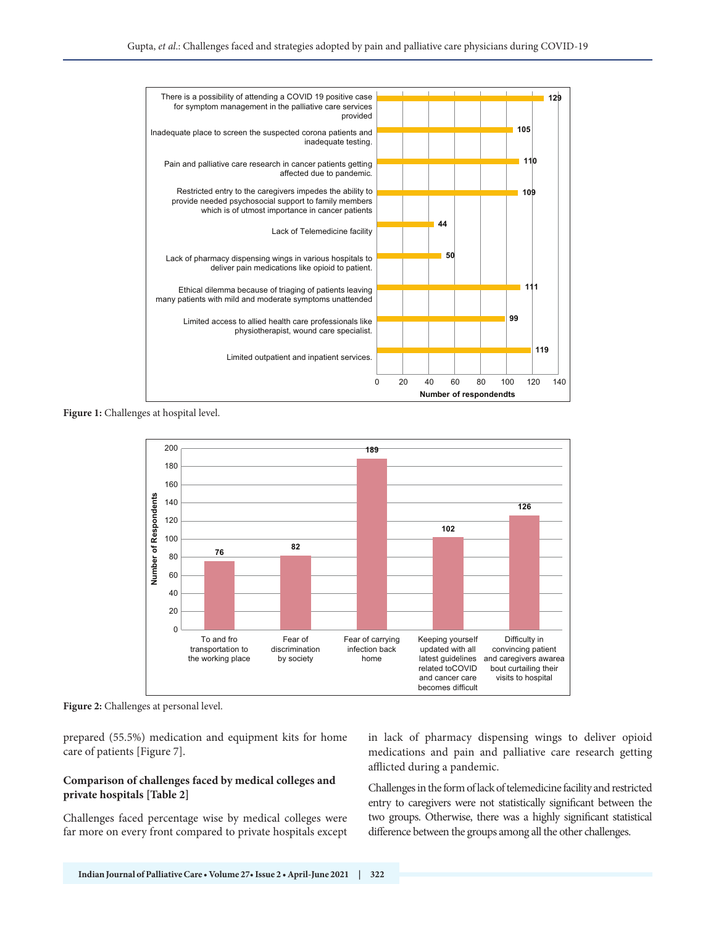

**Figure 1:** Challenges at hospital level.



**Figure 2:** Challenges at personal level.

prepared (55.5%) medication and equipment kits for home care of patients [Figure 7].

#### **Comparison of challenges faced by medical colleges and private hospitals [Table 2]**

Challenges faced percentage wise by medical colleges were far more on every front compared to private hospitals except in lack of pharmacy dispensing wings to deliver opioid medications and pain and palliative care research getting afflicted during a pandemic.

Challenges in the form of lack of telemedicine facility and restricted entry to caregivers were not statistically significant between the two groups. Otherwise, there was a highly significant statistical difference between the groups among all the other challenges.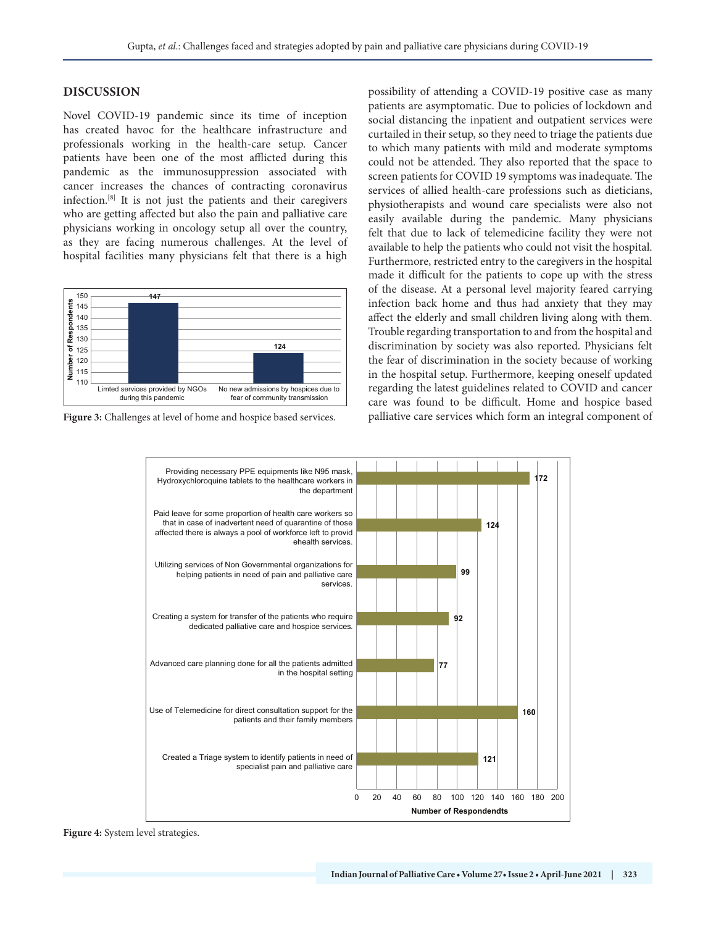#### **DISCUSSION**

Novel COVID-19 pandemic since its time of inception has created havoc for the healthcare infrastructure and professionals working in the health-care setup. Cancer patients have been one of the most afflicted during this pandemic as the immunosuppression associated with cancer increases the chances of contracting coronavirus infection.[8] It is not just the patients and their caregivers who are getting affected but also the pain and palliative care physicians working in oncology setup all over the country, as they are facing numerous challenges. At the level of hospital facilities many physicians felt that there is a high



**Figure 3:** Challenges at level of home and hospice based services.

possibility of attending a COVID-19 positive case as many patients are asymptomatic. Due to policies of lockdown and social distancing the inpatient and outpatient services were curtailed in their setup, so they need to triage the patients due to which many patients with mild and moderate symptoms could not be attended. They also reported that the space to screen patients for COVID 19 symptoms was inadequate. The services of allied health-care professions such as dieticians, physiotherapists and wound care specialists were also not easily available during the pandemic. Many physicians felt that due to lack of telemedicine facility they were not available to help the patients who could not visit the hospital. Furthermore, restricted entry to the caregivers in the hospital made it difficult for the patients to cope up with the stress of the disease. At a personal level majority feared carrying infection back home and thus had anxiety that they may affect the elderly and small children living along with them. Trouble regarding transportation to and from the hospital and discrimination by society was also reported. Physicians felt the fear of discrimination in the society because of working in the hospital setup. Furthermore, keeping oneself updated regarding the latest guidelines related to COVID and cancer care was found to be difficult. Home and hospice based palliative care services which form an integral component of



**Figure 4:** System level strategies.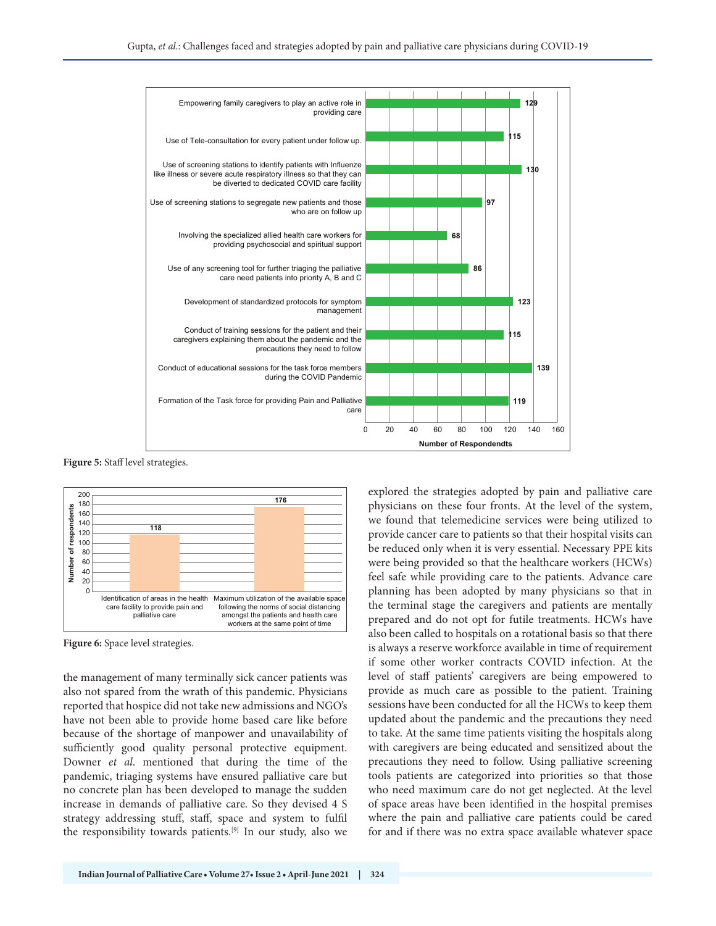

**Figure 5:** Staff level strategies.



**Figure 6:** Space level strategies.

the management of many terminally sick cancer patients was also not spared from the wrath of this pandemic. Physicians reported that hospice did not take new admissions and NGO's have not been able to provide home based care like before because of the shortage of manpower and unavailability of sufficiently good quality personal protective equipment. Downer *et al*. mentioned that during the time of the pandemic, triaging systems have ensured palliative care but no concrete plan has been developed to manage the sudden increase in demands of palliative care. So they devised 4 S strategy addressing stuff, staff, space and system to fulfil the responsibility towards patients.[9] In our study, also we explored the strategies adopted by pain and palliative care physicians on these four fronts. At the level of the system, we found that telemedicine services were being utilized to provide cancer care to patients so that their hospital visits can be reduced only when it is very essential. Necessary PPE kits were being provided so that the healthcare workers (HCWs) feel safe while providing care to the patients. Advance care planning has been adopted by many physicians so that in the terminal stage the caregivers and patients are mentally prepared and do not opt for futile treatments. HCWs have also been called to hospitals on a rotational basis so that there is always a reserve workforce available in time of requirement if some other worker contracts COVID infection. At the level of staff patients' caregivers are being empowered to provide as much care as possible to the patient. Training sessions have been conducted for all the HCWs to keep them updated about the pandemic and the precautions they need to take. At the same time patients visiting the hospitals along with caregivers are being educated and sensitized about the precautions they need to follow. Using palliative screening tools patients are categorized into priorities so that those who need maximum care do not get neglected. At the level of space areas have been identified in the hospital premises where the pain and palliative care patients could be cared for and if there was no extra space available whatever space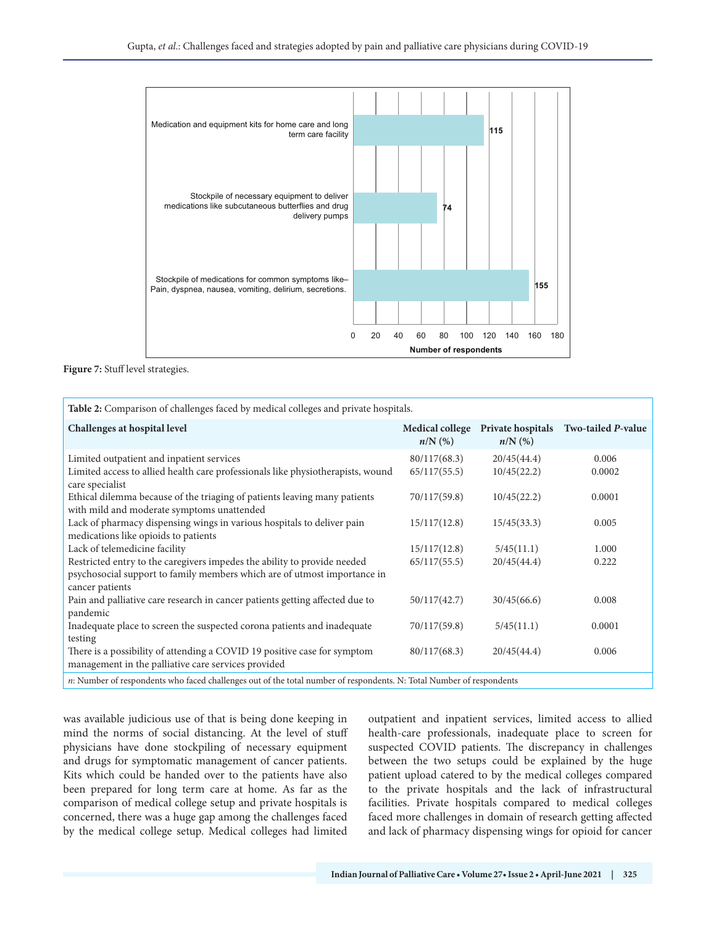

**Figure 7:** Stuff level strategies.

| Table 2: Comparison of challenges faced by medical colleges and private hospitals.                                                                                      |                              |                            |                                      |  |
|-------------------------------------------------------------------------------------------------------------------------------------------------------------------------|------------------------------|----------------------------|--------------------------------------|--|
| Challenges at hospital level                                                                                                                                            | Medical college<br>$n/N$ (%) | $n/N$ (%)                  | Private hospitals Two-tailed P-value |  |
| Limited outpatient and inpatient services<br>Limited access to allied health care professionals like physiotherapists, wound<br>care specialist                         | 80/117(68.3)<br>65/117(55.5) | 20/45(44.4)<br>10/45(22.2) | 0.006<br>0.0002                      |  |
| Ethical dilemma because of the triaging of patients leaving many patients<br>with mild and moderate symptoms unattended                                                 | 70/117(59.8)                 | 10/45(22.2)                | 0.0001                               |  |
| Lack of pharmacy dispensing wings in various hospitals to deliver pain<br>medications like opioids to patients                                                          | 15/117(12.8)                 | 15/45(33.3)                | 0.005                                |  |
| Lack of telemedicine facility                                                                                                                                           | 15/117(12.8)                 | 5/45(11.1)                 | 1.000                                |  |
| Restricted entry to the caregivers impedes the ability to provide needed<br>psychosocial support to family members which are of utmost importance in<br>cancer patients | 65/117(55.5)                 | 20/45(44.4)                | 0.222                                |  |
| Pain and palliative care research in cancer patients getting affected due to<br>pandemic                                                                                | 50/117(42.7)                 | 30/45(66.6)                | 0.008                                |  |
| Inadequate place to screen the suspected corona patients and inadequate<br>testing                                                                                      | 70/117(59.8)                 | 5/45(11.1)                 | 0.0001                               |  |
| There is a possibility of attending a COVID 19 positive case for symptom<br>management in the palliative care services provided                                         | 80/117(68.3)                 | 20/45(44.4)                | 0.006                                |  |
| n: Number of respondents who faced challenges out of the total number of respondents. N: Total Number of respondents                                                    |                              |                            |                                      |  |

was available judicious use of that is being done keeping in mind the norms of social distancing. At the level of stuff physicians have done stockpiling of necessary equipment and drugs for symptomatic management of cancer patients. Kits which could be handed over to the patients have also been prepared for long term care at home. As far as the comparison of medical college setup and private hospitals is concerned, there was a huge gap among the challenges faced by the medical college setup. Medical colleges had limited outpatient and inpatient services, limited access to allied health-care professionals, inadequate place to screen for suspected COVID patients. The discrepancy in challenges between the two setups could be explained by the huge patient upload catered to by the medical colleges compared to the private hospitals and the lack of infrastructural facilities. Private hospitals compared to medical colleges faced more challenges in domain of research getting affected and lack of pharmacy dispensing wings for opioid for cancer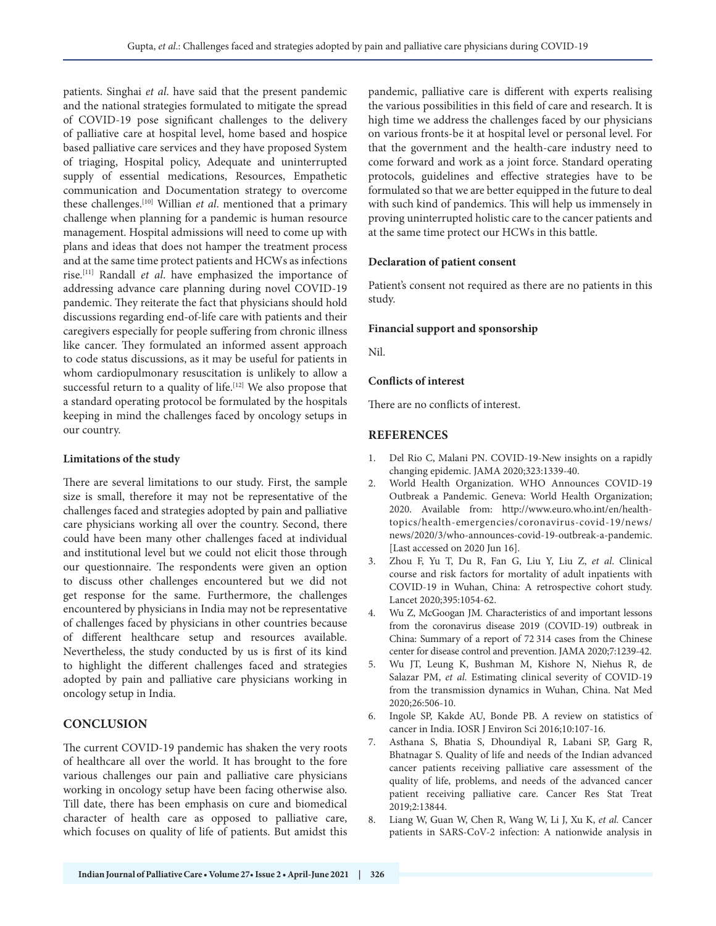patients. Singhai *et al*. have said that the present pandemic and the national strategies formulated to mitigate the spread of COVID‐19 pose significant challenges to the delivery of palliative care at hospital level, home based and hospice based palliative care services and they have proposed System of triaging, Hospital policy, Adequate and uninterrupted supply of essential medications, Resources, Empathetic communication and Documentation strategy to overcome these challenges.[10] Willian *et al*. mentioned that a primary challenge when planning for a pandemic is human resource management. Hospital admissions will need to come up with plans and ideas that does not hamper the treatment process and at the same time protect patients and HCWs as infections rise.[11] Randall *et al*. have emphasized the importance of addressing advance care planning during novel COVID-19 pandemic. They reiterate the fact that physicians should hold discussions regarding end-of-life care with patients and their caregivers especially for people suffering from chronic illness like cancer. They formulated an informed assent approach to code status discussions, as it may be useful for patients in whom cardiopulmonary resuscitation is unlikely to allow a successful return to a quality of life.<sup>[12]</sup> We also propose that a standard operating protocol be formulated by the hospitals keeping in mind the challenges faced by oncology setups in our country.

#### **Limitations of the study**

There are several limitations to our study. First, the sample size is small, therefore it may not be representative of the challenges faced and strategies adopted by pain and palliative care physicians working all over the country. Second, there could have been many other challenges faced at individual and institutional level but we could not elicit those through our questionnaire. The respondents were given an option to discuss other challenges encountered but we did not get response for the same. Furthermore, the challenges encountered by physicians in India may not be representative of challenges faced by physicians in other countries because of different healthcare setup and resources available. Nevertheless, the study conducted by us is first of its kind to highlight the different challenges faced and strategies adopted by pain and palliative care physicians working in oncology setup in India.

# **CONCLUSION**

The current COVID-19 pandemic has shaken the very roots of healthcare all over the world. It has brought to the fore various challenges our pain and palliative care physicians working in oncology setup have been facing otherwise also. Till date, there has been emphasis on cure and biomedical character of health care as opposed to palliative care, which focuses on quality of life of patients. But amidst this pandemic, palliative care is different with experts realising the various possibilities in this field of care and research. It is high time we address the challenges faced by our physicians on various fronts-be it at hospital level or personal level. For that the government and the health-care industry need to come forward and work as a joint force. Standard operating protocols, guidelines and effective strategies have to be formulated so that we are better equipped in the future to deal with such kind of pandemics. This will help us immensely in proving uninterrupted holistic care to the cancer patients and at the same time protect our HCWs in this battle.

#### **Declaration of patient consent**

Patient's consent not required as there are no patients in this study.

#### **Financial support and sponsorship**

Nil.

#### **Conflicts of interest**

There are no conflicts of interest.

# **REFERENCES**

- 1. Del Rio C, Malani PN. COVID-19-New insights on a rapidly changing epidemic. JAMA 2020;323:1339-40.
- 2. World Health Organization. WHO Announces COVID-19 Outbreak a Pandemic. Geneva: World Health Organization; 2020. Available from: http://www.euro.who.int/en/healthtopics/health-emergencies/coronavirus-covid-19/news/ news/2020/3/who-announces-covid-19-outbreak-a-pandemic. [Last accessed on 2020 Jun 16].
- 3. Zhou F, Yu T, Du R, Fan G, Liu Y, Liu Z, *et al*. Clinical course and risk factors for mortality of adult inpatients with COVID-19 in Wuhan, China: A retrospective cohort study. Lancet 2020;395:1054-62.
- 4. Wu Z, McGoogan JM. Characteristics of and important lessons from the coronavirus disease 2019 (COVID-19) outbreak in China: Summary of a report of 72 314 cases from the Chinese center for disease control and prevention. JAMA 2020;7:1239-42.
- 5. Wu JT, Leung K, Bushman M, Kishore N, Niehus R, de Salazar PM, *et al*. Estimating clinical severity of COVID-19 from the transmission dynamics in Wuhan, China. Nat Med 2020;26:506-10.
- 6. Ingole SP, Kakde AU, Bonde PB. A review on statistics of cancer in India. IOSR J Environ Sci 2016;10:107-16.
- 7. Asthana S, Bhatia S, Dhoundiyal R, Labani SP, Garg R, Bhatnagar S. Quality of life and needs of the Indian advanced cancer patients receiving palliative care assessment of the quality of life, problems, and needs of the advanced cancer patient receiving palliative care. Cancer Res Stat Treat 2019;2:13844.
- 8. Liang W, Guan W, Chen R, Wang W, Li J, Xu K, *et al.* Cancer patients in SARS-CoV-2 infection: A nationwide analysis in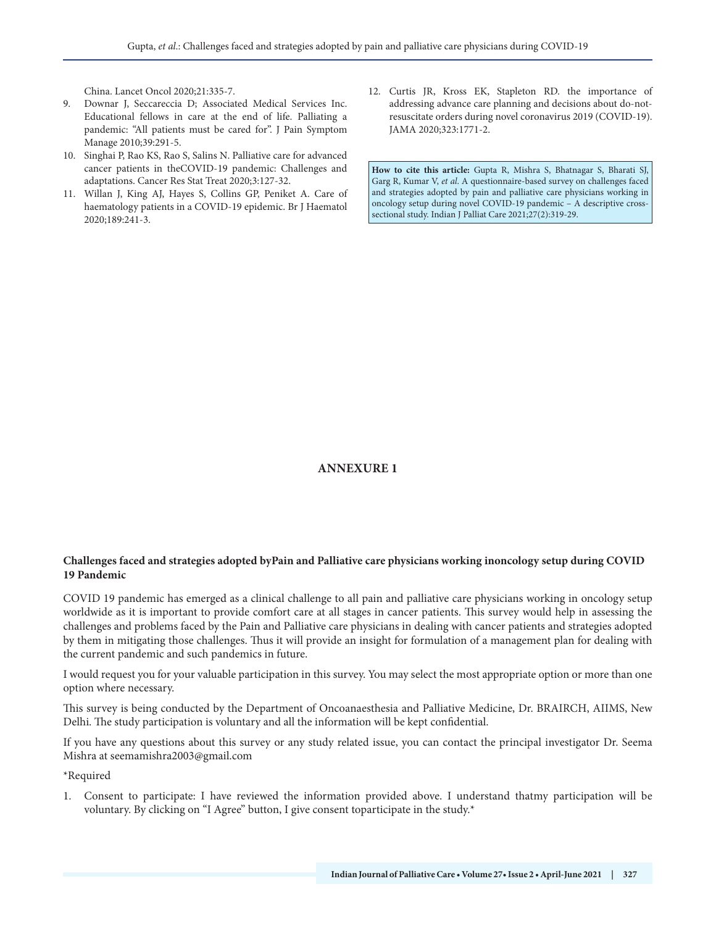China. Lancet Oncol 2020;21:335-7.

- 9. Downar J, Seccareccia D; Associated Medical Services Inc. Educational fellows in care at the end of life. Palliating a pandemic: "All patients must be cared for". J Pain Symptom Manage 2010;39:291-5.
- 10. Singhai P, Rao KS, Rao S, Salins N. Palliative care for advanced cancer patients in theCOVID-19 pandemic: Challenges and adaptations. Cancer Res Stat Treat 2020;3:127-32.
- 11. Willan J, King AJ, Hayes S, Collins GP, Peniket A. Care of haematology patients in a COVID-19 epidemic. Br J Haematol 2020;189:241-3.
- 12. Curtis JR, Kross EK, Stapleton RD. the importance of addressing advance care planning and decisions about do-notresuscitate orders during novel coronavirus 2019 (COVID-19). JAMA 2020;323:1771-2.

**How to cite this article:** Gupta R, Mishra S, Bhatnagar S, Bharati SJ, Garg R, Kumar V, *et al*. A questionnaire-based survey on challenges faced and strategies adopted by pain and palliative care physicians working in oncology setup during novel COVID-19 pandemic – A descriptive crosssectional study. Indian J Palliat Care 2021;27(2):319-29.

**ANNEXURE 1**

## **Challenges faced and strategies adopted byPain and Palliative care physicians working inoncology setup during COVID 19 Pandemic**

COVID 19 pandemic has emerged as a clinical challenge to all pain and palliative care physicians working in oncology setup worldwide as it is important to provide comfort care at all stages in cancer patients. This survey would help in assessing the challenges and problems faced by the Pain and Palliative care physicians in dealing with cancer patients and strategies adopted by them in mitigating those challenges. Thus it will provide an insight for formulation of a management plan for dealing with the current pandemic and such pandemics in future.

I would request you for your valuable participation in this survey. You may select the most appropriate option or more than one option where necessary.

This survey is being conducted by the Department of Oncoanaesthesia and Palliative Medicine, Dr. BRAIRCH, AIIMS, New Delhi. The study participation is voluntary and all the information will be kept confidential.

If you have any questions about this survey or any study related issue, you can contact the principal investigator Dr. Seema Mishra at seemamishra2003@gmail.com

\*Required

1. Consent to participate: I have reviewed the information provided above. I understand thatmy participation will be voluntary. By clicking on "I Agree" button, I give consent toparticipate in the study.\*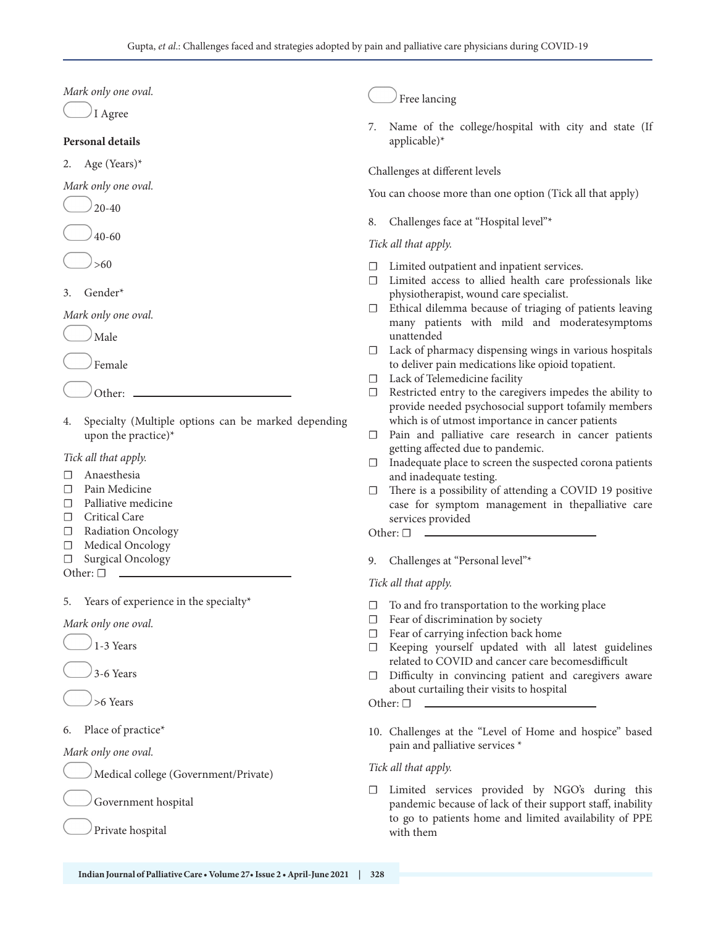*Mark only one oval.*

I Agree

#### **Personal details**

2. Age (Years)\*

*Mark only one oval.*

20-40

40-60

>60

3. Gender\*

#### *Mark only one oval.*

Male

Female

Other:

4. Specialty (Multiple options can be marked depending upon the practice)\*

*Tick all that apply.*

- ☐ Anaesthesia
- ☐ Pain Medicine
- □ Palliative medicine
- □ Critical Care
- ☐ Radiation Oncology
- □ Medical Oncology
- □ Surgical Oncology

Other: □

5. Years of experience in the specialty\*

*Mark only one oval.*



3-6 Years

>6 Years

# 6. Place of practice\*

*Mark only one oval.*

Medical college (Government/Private)

Government hospital

Private hospital

# Free lancing

7. Name of the college/hospital with city and state (If applicable)\*

Challenges at different levels

You can choose more than one option (Tick all that apply)

8. Challenges face at "Hospital level"\*

# *Tick all that apply.*

- ☐ Limited outpatient and inpatient services.
- ☐ Limited access to allied health care professionals like physiotherapist, wound care specialist.
- ☐ Ethical dilemma because of triaging of patients leaving many patients with mild and moderatesymptoms unattended
- $\Box$  Lack of pharmacy dispensing wings in various hospitals to deliver pain medications like opioid topatient.
- ☐ Lack of Telemedicine facility
- ☐ Restricted entry to the caregivers impedes the ability to provide needed psychosocial support tofamily members which is of utmost importance in cancer patients
- □ Pain and palliative care research in cancer patients getting affected due to pandemic.
- ☐ Inadequate place to screen the suspected corona patients and inadequate testing.
- $\Box$  There is a possibility of attending a COVID 19 positive case for symptom management in thepalliative care services provided

Other: □

9. Challenges at "Personal level"\*

# *Tick all that apply.*

- ☐ To and fro transportation to the working place
- $\Box$  Fear of discrimination by society
- ☐ Fear of carrying infection back home
- ☐ Keeping yourself updated with all latest guidelines related to COVID and cancer care becomesdifficult
- □ Difficulty in convincing patient and caregivers aware about curtailing their visits to hospital

Other: □

10. Challenges at the "Level of Home and hospice" based pain and palliative services \*

# *Tick all that apply.*

☐ Limited services provided by NGO's during this pandemic because of lack of their support staff, inability to go to patients home and limited availability of PPE with them